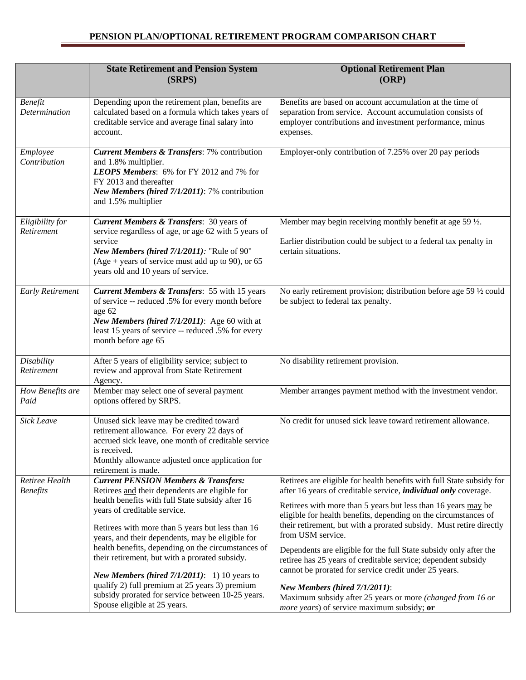## **PENSION PLAN/OPTIONAL RETIREMENT PROGRAM COMPARISON CHART**

|                                   | <b>State Retirement and Pension System</b><br>(SRPS)                                                                                                                                                                                                                                                                                                                                                                                                                                                                                                                                            | <b>Optional Retirement Plan</b><br>(ORP)                                                                                                                                                                                                                                                                                                                                                                                                                                                                                                                                                                                                                                                                                            |
|-----------------------------------|-------------------------------------------------------------------------------------------------------------------------------------------------------------------------------------------------------------------------------------------------------------------------------------------------------------------------------------------------------------------------------------------------------------------------------------------------------------------------------------------------------------------------------------------------------------------------------------------------|-------------------------------------------------------------------------------------------------------------------------------------------------------------------------------------------------------------------------------------------------------------------------------------------------------------------------------------------------------------------------------------------------------------------------------------------------------------------------------------------------------------------------------------------------------------------------------------------------------------------------------------------------------------------------------------------------------------------------------------|
| <b>Benefit</b><br>Determination   | Depending upon the retirement plan, benefits are<br>calculated based on a formula which takes years of<br>creditable service and average final salary into<br>account.                                                                                                                                                                                                                                                                                                                                                                                                                          | Benefits are based on account accumulation at the time of<br>separation from service. Account accumulation consists of<br>employer contributions and investment performance, minus<br>expenses.                                                                                                                                                                                                                                                                                                                                                                                                                                                                                                                                     |
| Employee<br>Contribution          | <b>Current Members &amp; Transfers: 7% contribution</b><br>and 1.8% multiplier.<br>LEOPS Members: 6% for FY 2012 and 7% for<br>FY 2013 and thereafter<br>New Members (hired 7/1/2011): 7% contribution<br>and 1.5% multiplier                                                                                                                                                                                                                                                                                                                                                                   | Employer-only contribution of 7.25% over 20 pay periods                                                                                                                                                                                                                                                                                                                                                                                                                                                                                                                                                                                                                                                                             |
| Eligibility for<br>Retirement     | <b>Current Members &amp; Transfers: 30 years of</b><br>service regardless of age, or age 62 with 5 years of<br>service<br>New Members (hired 7/1/2011): "Rule of 90"<br>$(Age + years of service must add up to 90)$ , or 65<br>years old and 10 years of service.                                                                                                                                                                                                                                                                                                                              | Member may begin receiving monthly benefit at age 59 $\frac{1}{2}$ .<br>Earlier distribution could be subject to a federal tax penalty in<br>certain situations.                                                                                                                                                                                                                                                                                                                                                                                                                                                                                                                                                                    |
| <b>Early Retirement</b>           | <b>Current Members &amp; Transfers: 55 with 15 years</b><br>of service -- reduced .5% for every month before<br>age 62<br>New Members (hired 7/1/2011): Age 60 with at<br>least 15 years of service -- reduced .5% for every<br>month before age 65                                                                                                                                                                                                                                                                                                                                             | No early retirement provision; distribution before age 59 1/2 could<br>be subject to federal tax penalty.                                                                                                                                                                                                                                                                                                                                                                                                                                                                                                                                                                                                                           |
| Disability<br>Retirement          | After 5 years of eligibility service; subject to<br>review and approval from State Retirement<br>Agency.                                                                                                                                                                                                                                                                                                                                                                                                                                                                                        | No disability retirement provision.                                                                                                                                                                                                                                                                                                                                                                                                                                                                                                                                                                                                                                                                                                 |
| How Benefits are<br>Paid          | Member may select one of several payment<br>options offered by SRPS.                                                                                                                                                                                                                                                                                                                                                                                                                                                                                                                            | Member arranges payment method with the investment vendor.                                                                                                                                                                                                                                                                                                                                                                                                                                                                                                                                                                                                                                                                          |
| <b>Sick Leave</b>                 | Unused sick leave may be credited toward<br>retirement allowance. For every 22 days of<br>accrued sick leave, one month of creditable service<br>is received.<br>Monthly allowance adjusted once application for<br>retirement is made.                                                                                                                                                                                                                                                                                                                                                         | No credit for unused sick leave toward retirement allowance.                                                                                                                                                                                                                                                                                                                                                                                                                                                                                                                                                                                                                                                                        |
| Retiree Health<br><b>Benefits</b> | <b>Current PENSION Members &amp; Transfers:</b><br>Retirees and their dependents are eligible for<br>health benefits with full State subsidy after 16<br>years of creditable service.<br>Retirees with more than 5 years but less than 16<br>years, and their dependents, may be eligible for<br>health benefits, depending on the circumstances of<br>their retirement, but with a prorated subsidy.<br>New Members (hired $7/1/2011$ ): 1) 10 years to<br>qualify 2) full premium at 25 years 3) premium<br>subsidy prorated for service between 10-25 years.<br>Spouse eligible at 25 years. | Retirees are eligible for health benefits with full State subsidy for<br>after 16 years of creditable service, <i>individual only</i> coverage.<br>Retirees with more than 5 years but less than 16 years may be<br>eligible for health benefits, depending on the circumstances of<br>their retirement, but with a prorated subsidy. Must retire directly<br>from USM service.<br>Dependents are eligible for the full State subsidy only after the<br>retiree has 25 years of creditable service; dependent subsidy<br>cannot be prorated for service credit under 25 years.<br>New Members (hired 7/1/2011):<br>Maximum subsidy after 25 years or more (changed from 16 or<br><i>more years</i> ) of service maximum subsidy; or |